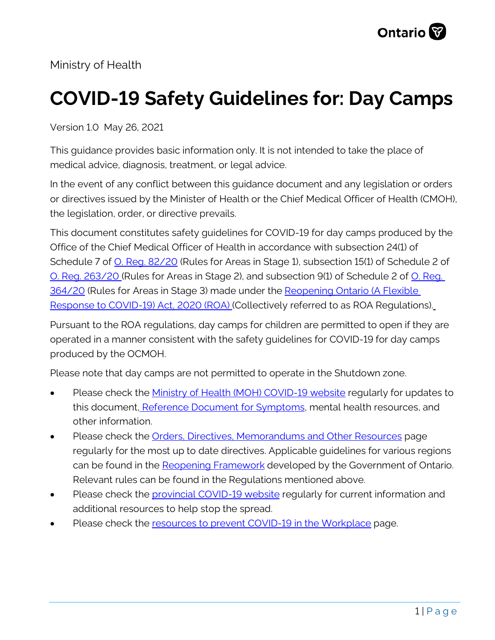

Ministry of Health

# **COVID-19 Safety Guidelines for: Day Camps**

Version 1.0 May 26, 2021

This guidance provides basic information only. It is not intended to take the place of medical advice, diagnosis, treatment, or legal advice.

In the event of any conflict between this guidance document and any legislation or orders or directives issued by the Minister of Health or the Chief Medical Officer of Health (CMOH), the legislation, order, or directive prevails.

This document constitutes safety guidelines for COVID-19 for day camps produced by the Office of the Chief Medical Officer of Health in accordance with subsection 24(1) of Schedule 7 of [O. Reg. 82/20](https://www.ontario.ca/laws/regulation/200082#BK14) (Rules for Areas in Stage 1), subsection 15(1) of Schedule 2 of [O. Reg. 263/20](https://www.ontario.ca/laws/regulation/200263#BK7) (Rules for Areas in Stage 2), and subsection 9(1) of Schedule 2 of [O. Reg.](https://www.ontario.ca/laws/regulation/200364)  [364/20](https://www.ontario.ca/laws/regulation/200364) (Rules for Areas in Stage 3) made under the [Reopening Ontario \(A Flexible](https://www.ontario.ca/laws/statute/20r17)  [Response to COVID-19\) Act, 2020 \(ROA\)](https://www.ontario.ca/laws/statute/20r17) (Collectively referred to as ROA Regulations).

Pursuant to the ROA regulations, day camps for children are permitted to open if they are operated in a manner consistent with the safety guidelines for COVID-19 for day camps produced by the OCMOH.

Please note that day camps are not permitted to operate in the Shutdown zone.

- Please check the [Ministry of Health \(MOH\) COVID-19 website](http://www.health.gov.on.ca/en/pro/programs/publichealth/coronavirus/2019_guidance.aspx) regularly for updates to this document, [Reference Document for Symptoms,](http://www.health.gov.on.ca/en/pro/programs/publichealth/coronavirus/docs/2019_reference_doc_symptoms.pdf) mental health resources, and other information.
- Please check the [Orders, Directives, Memorandums and Other Resources](http://www.health.gov.on.ca/en/pro/programs/publichealth/coronavirus/dir_mem_res.aspx) page regularly for the most up to date directives. Applicable guidelines for various regions can be found in the [Reopening Framework](https://www.ontario.ca/page/reopening-ontario) developed by the Government of Ontario. Relevant rules can be found in the Regulations mentioned above.
- Please check the [provincial COVID-19 website](https://covid-19.ontario.ca/) regularly for current information and additional resources to help stop the spread.
- Please check the [resources to prevent COVID-19 in the Workplace](https://www.ontario.ca/page/resources-prevent-covid-19-workplace) page.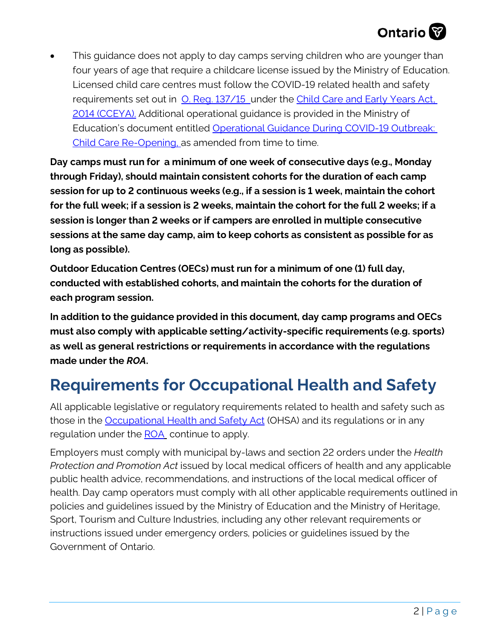## **Ontario**

This guidance does not apply to day camps serving children who are younger than four years of age that require a childcare license issued by the Ministry of Education. Licensed child care centres must follow the COVID-19 related health and safety requirements set out in [O. Reg. 137/15](https://www.ontario.ca/laws/regulation/150137) under the [Child Care and Early Years Act,](https://www.ontario.ca/laws/statute/14c11)  [2014 \(CCEYA\).](https://www.ontario.ca/laws/statute/14c11) Additional operational guidance is provided in the Ministry of Education's document entitled Operational Guidance During COVID-19 Outbreak: [Child Care Re-Opening,](http://www.edu.gov.on.ca/childcare/child-care-guide-child-care.pdf) as amended from time to time.

**Day camps must run for a minimum of one week of consecutive days (e.g., Monday through Friday), should maintain consistent cohorts for the duration of each camp session for up to 2 continuous weeks (e.g., if a session is 1 week, maintain the cohort for the full week; if a session is 2 weeks, maintain the cohort for the full 2 weeks; if a session is longer than 2 weeks or if campers are enrolled in multiple consecutive sessions at the same day camp, aim to keep cohorts as consistent as possible for as long as possible).** 

**Outdoor Education Centres (OECs) must run for a minimum of one (1) full day, conducted with established cohorts, and maintain the cohorts for the duration of each program session.** 

**In addition to the guidance provided in this document, day camp programs and OECs must also comply with applicable setting/activity-specific requirements (e.g. sports) as well as general restrictions or requirements in accordance with the regulations made under the** *ROA***.** 

## **Requirements for Occupational Health and Safety**

All applicable legislative or regulatory requirements related to health and safety such as those in the **Occupational Health and Safety Act** (OHSA) and its regulations or in any regulation under the **ROA** continue to apply.

Employers must comply with municipal by-laws and section 22 orders under the *Health Protection and Promotion Act* issued by local medical officers of health and any applicable public health advice, recommendations, and instructions of the local medical officer of health. Day camp operators must comply with all other applicable requirements outlined in policies and guidelines issued by the Ministry of Education and the Ministry of Heritage, Sport, Tourism and Culture Industries, including any other relevant requirements or instructions issued under emergency orders, policies or guidelines issued by the Government of Ontario.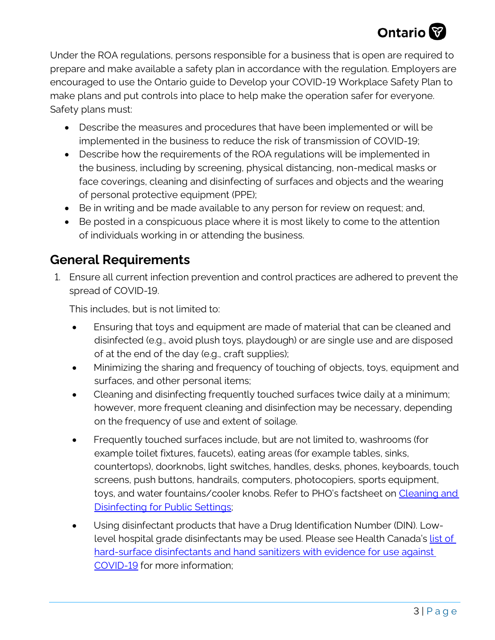

Under the ROA regulations, persons responsible for a business that is open are required to prepare and make available a safety plan in accordance with the regulation. Employers are encouraged to use the Ontario guide to Develop your COVID-19 Workplace Safety Plan to make plans and put controls into place to help make the operation safer for everyone. Safety plans must:

- Describe the measures and procedures that have been implemented or will be implemented in the business to reduce the risk of transmission of COVID-19;
- Describe how the requirements of the ROA regulations will be implemented in the business, including by screening, physical distancing, non-medical masks or face coverings, cleaning and disinfecting of surfaces and objects and the wearing of personal protective equipment (PPE);
- Be in writing and be made available to any person for review on request; and,
- Be posted in a conspicuous place where it is most likely to come to the attention of individuals working in or attending the business.

### **General Requirements**

1. Ensure all current infection prevention and control practices are adhered to prevent the spread of COVID-19.

This includes, but is not limited to:

- Ensuring that toys and equipment are made of material that can be cleaned and disinfected (e.g., avoid plush toys, playdough) or are single use and are disposed of at the end of the day (e.g., craft supplies);
- Minimizing the sharing and frequency of touching of objects, toys, equipment and surfaces, and other personal items;
- Cleaning and disinfecting frequently touched surfaces twice daily at a minimum; however, more frequent cleaning and disinfection may be necessary, depending on the frequency of use and extent of soilage.
- Frequently touched surfaces include, but are not limited to, washrooms (for example toilet fixtures, faucets), eating areas (for example tables, sinks, countertops), doorknobs, light switches, handles, desks, phones, keyboards, touch screens, push buttons, handrails, computers, photocopiers, sports equipment, toys, and water fountains/cooler knobs. Refer to PHO's factsheet on [Cleaning and](https://www.publichealthontario.ca/-/media/documents/ncov/factsheet-covid-19-environmental-cleaning.pdf?la=en)  [Disinfecting for Public Settings;](https://www.publichealthontario.ca/-/media/documents/ncov/factsheet-covid-19-environmental-cleaning.pdf?la=en)
- Using disinfectant products that have a Drug Identification Number (DIN). Lowlevel hospital grade disinfectants may be used. Please see Health Canada's list of [hard-surface disinfectants and hand sanitizers with evidence for use against](https://www.canada.ca/en/health-canada/services/drugs-health-products/disinfectants/covid-19/list.html)  [COVID-19](https://www.canada.ca/en/health-canada/services/drugs-health-products/disinfectants/covid-19/list.html) for more information;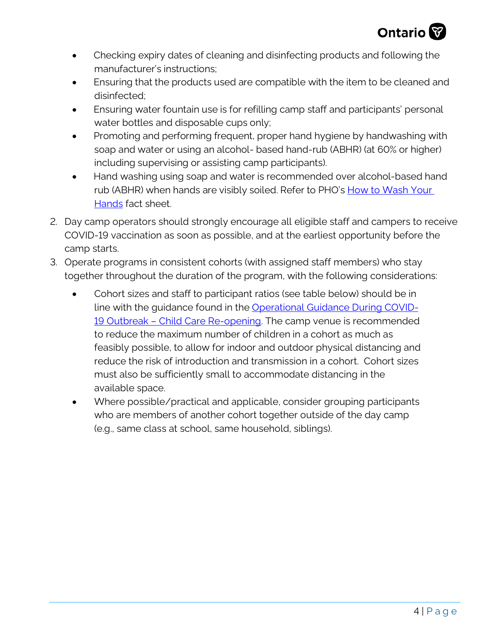

- Checking expiry dates of cleaning and disinfecting products and following the manufacturer's instructions;
- Ensuring that the products used are compatible with the item to be cleaned and disinfected;
- Ensuring water fountain use is for refilling camp staff and participants' personal water bottles and disposable cups only;
- Promoting and performing frequent, proper hand hygiene by handwashing with soap and water or using an alcohol- based hand-rub (ABHR) (at 60% or higher) including supervising or assisting camp participants).
- Hand washing using soap and water is recommended over alcohol-based hand rub (ABHR) when hands are visibly soiled. Refer to PHO's How to Wash Your Hands fact sheet.
- 2. Day camp operators should strongly encourage all eligible staff and campers to receive COVID-19 vaccination as soon as possible, and at the earliest opportunity before the camp starts.
- 3. Operate programs in consistent cohorts (with assigned staff members) who stay together throughout the duration of the program, with the following considerations:
	- Cohort sizes and staff to participant ratios (see table below) should be in line with the guidance found in the [Operational Guidance During COVID-](http://www.edu.gov.on.ca/childcare/child-care-guide-child-care.pdf)[19 Outbreak – Child Care Re-opening.](http://www.edu.gov.on.ca/childcare/child-care-guide-child-care.pdf) The camp venue is recommended to reduce the maximum number of children in a cohort as much as feasibly possible, to allow for indoor and outdoor physical distancing and reduce the risk of introduction and transmission in a cohort. Cohort sizes must also be sufficiently small to accommodate distancing in the available space.
	- Where possible/practical and applicable, consider grouping participants who are members of another cohort together outside of the day camp (e.g., same class at school, same household, siblings).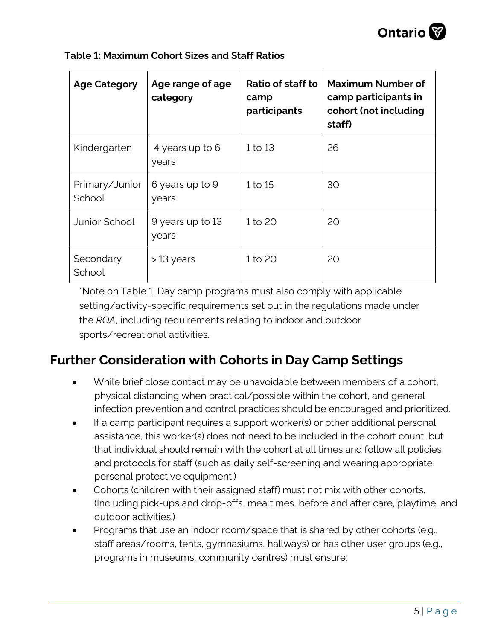| <b>Age Category</b>      | Age range of age<br>category | Ratio of staff to<br>camp<br>participants | <b>Maximum Number of</b><br>camp participants in<br>cohort (not including<br>staff) |
|--------------------------|------------------------------|-------------------------------------------|-------------------------------------------------------------------------------------|
| Kindergarten             | 4 years up to 6<br>years     | 1 to 13                                   | 26                                                                                  |
| Primary/Junior<br>School | 6 years up to 9<br>years     | 1 to 15                                   | 30                                                                                  |
| Junior School            | 9 years up to 13<br>years    | 1 to 20                                   | 20                                                                                  |
| Secondary<br>School      | $>13$ years                  | 1 to 20                                   | 20                                                                                  |

**Table 1: Maximum Cohort Sizes and Staff Ratios** 

\*Note on Table 1: Day camp programs must also comply with applicable setting/activity-specific requirements set out in the regulations made under the *ROA*, including requirements relating to indoor and outdoor sports/recreational activities.

### **Further Consideration with Cohorts in Day Camp Settings**

- While brief close contact may be unavoidable between members of a cohort, physical distancing when practical/possible within the cohort, and general infection prevention and control practices should be encouraged and prioritized.
- If a camp participant requires a support worker(s) or other additional personal assistance, this worker(s) does not need to be included in the cohort count, but that individual should remain with the cohort at all times and follow all policies and protocols for staff (such as daily self-screening and wearing appropriate personal protective equipment.)
- Cohorts (children with their assigned staff) must not mix with other cohorts. (Including pick-ups and drop-offs, mealtimes, before and after care, playtime, and outdoor activities.)
- Programs that use an indoor room/space that is shared by other cohorts (e.g., staff areas/rooms, tents, gymnasiums, hallways) or has other user groups (e.g., programs in museums, community centres) must ensure: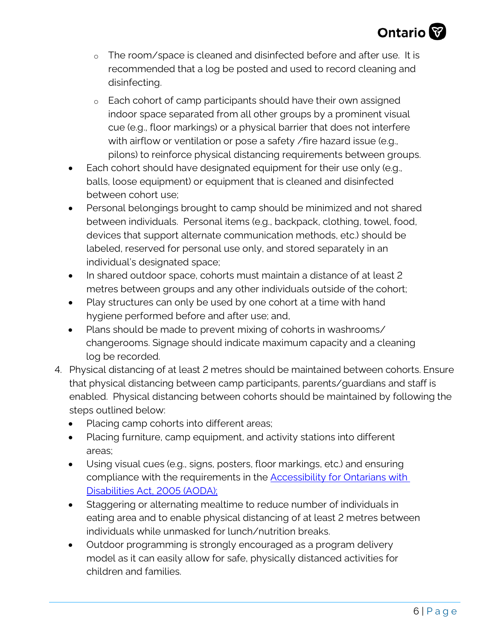

- o The room/space is cleaned and disinfected before and after use. It is recommended that a log be posted and used to record cleaning and disinfecting.
- o Each cohort of camp participants should have their own assigned indoor space separated from all other groups by a prominent visual cue (e.g., floor markings) or a physical barrier that does not interfere with airflow or ventilation or pose a safety / fire hazard issue (e.g., pilons) to reinforce physical distancing requirements between groups.
- Each cohort should have designated equipment for their use only (e.g., balls, loose equipment) or equipment that is cleaned and disinfected between cohort use;
- Personal belongings brought to camp should be minimized and not shared between individuals. Personal items (e.g., backpack, clothing, towel, food, devices that support alternate communication methods, etc.) should be labeled, reserved for personal use only, and stored separately in an individual's designated space;
- In shared outdoor space, cohorts must maintain a distance of at least 2 metres between groups and any other individuals outside of the cohort;
- Play structures can only be used by one cohort at a time with hand hygiene performed before and after use; and,
- Plans should be made to prevent mixing of cohorts in washrooms/ changerooms. Signage should indicate maximum capacity and a cleaning log be recorded.
- 4. Physical distancing of at least 2 metres should be maintained between cohorts. Ensure that physical distancing between camp participants, parents/guardians and staff is enabled. Physical distancing between cohorts should be maintained by following the steps outlined below:
	- Placing camp cohorts into different areas;
	- Placing furniture, camp equipment, and activity stations into different areas;
	- Using visual cues (e.g., signs, posters, floor markings, etc.) and ensuring compliance with the requirements in the **Accessibility for Ontarians with** Disabilities Act, 2005 [\(AODA\)](https://www.ontario.ca/page/about-accessibility-laws);
	- Staggering or alternating mealtime to reduce number of individuals in eating area and to enable physical distancing of at least 2 metres between individuals while unmasked for lunch/nutrition breaks.
	- Outdoor programming is strongly encouraged as a program delivery model as it can easily allow for safe, physically distanced activities for children and families.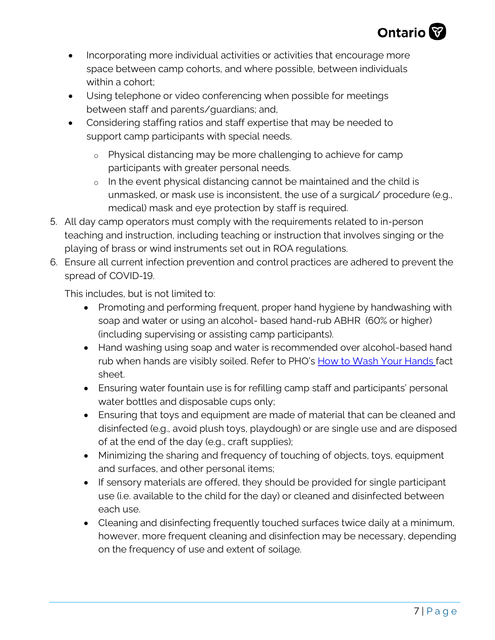

- Incorporating more individual activities or activities that encourage more space between camp cohorts, and where possible, between individuals within a cohort:
- Using telephone or video conferencing when possible for meetings between staff and parents/guardians; and,
- Considering staffing ratios and staff expertise that may be needed to support camp participants with special needs.
	- o Physical distancing may be more challenging to achieve for camp participants with greater personal needs.
	- o In the event physical distancing cannot be maintained and the child is unmasked, or mask use is inconsistent, the use of a surgical/ procedure (e.g., medical) mask and eye protection by staff is required.
- 5. All day camp operators must comply with the requirements related to in-person teaching and instruction, including teaching or instruction that involves singing or the playing of brass or wind instruments set out in ROA regulations.
- 6. Ensure all current infection prevention and control practices are adhered to prevent the spread of COVID-19.

This includes, but is not limited to:

- Promoting and performing frequent, proper hand hygiene by handwashing with soap and water or using an alcohol- based hand-rub ABHR (60% or higher) (including supervising or assisting camp participants).
- Hand washing using soap and water is recommended over alcohol-based hand rub when hands are visibly soiled. Refer to PHO'[s How to Wash Your Hands fact](https://www.publichealthontario.ca/-/media/documents/ncov/factsheet/factsheet-covid-19-hand-hygiene.pdf?la=en)  [sheet.](https://www.publichealthontario.ca/-/media/documents/ncov/factsheet/factsheet-covid-19-hand-hygiene.pdf?la=en)
- Ensuring water fountain use is for refilling camp staff and participants' personal water bottles and disposable cups only;
- Ensuring that toys and equipment are made of material that can be cleaned and disinfected (e.g., avoid plush toys, playdough) or are single use and are disposed of at the end of the day (e.g., craft supplies);
- Minimizing the sharing and frequency of touching of objects, toys, equipment and surfaces, and other personal items;
- If sensory materials are offered, they should be provided for single participant use (i.e. available to the child for the day) or cleaned and disinfected between each use.
- Cleaning and disinfecting frequently touched surfaces twice daily at a minimum, however, more frequent cleaning and disinfection may be necessary, depending on the frequency of use and extent of soilage.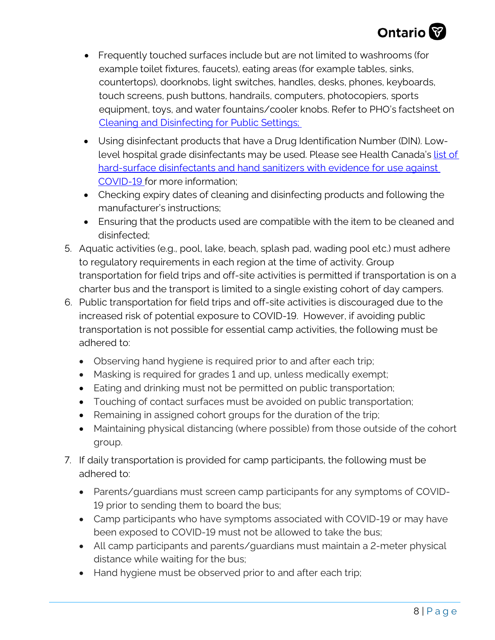

- Frequently touched surfaces include but are not limited to washrooms (for example toilet fixtures, faucets), eating areas (for example tables, sinks, countertops), doorknobs, light switches, handles, desks, phones, keyboards, touch screens, push buttons, handrails, computers, photocopiers, sports equipment, toys, and water fountains/cooler knobs. Refer to PHO's factsheet on [Cleaning and Disinfecting for Public Settings;](https://www.publichealthontario.ca/-/media/documents/ncov/factsheet-covid-19-environmental-cleaning.pdf?la=en)
- Using disinfectant products that have a Drug Identification Number (DIN). Lowlevel hospital grade disinfectants may be used. Please see Health Canada's list of [hard-surface disinfectants and hand sanitizers with evidence for use against](https://www.canada.ca/en/health-canada/services/drugs-health-products/disinfectants/covid-19/list.html)  [COVID-19](https://www.canada.ca/en/health-canada/services/drugs-health-products/disinfectants/covid-19/list.html) for more information;
- Checking expiry dates of cleaning and disinfecting products and following the manufacturer's instructions;
- Ensuring that the products used are compatible with the item to be cleaned and disinfected;
- 5. Aquatic activities (e.g., pool, lake, beach, splash pad, wading pool etc.) must adhere to regulatory requirements in each region at the time of activity. Group transportation for field trips and off-site activities is permitted if transportation is on a charter bus and the transport is limited to a single existing cohort of day campers.
- 6. Public transportation for field trips and off-site activities is discouraged due to the increased risk of potential exposure to COVID-19. However, if avoiding public transportation is not possible for essential camp activities, the following must be adhered to:
	- Observing hand hygiene is required prior to and after each trip;
	- Masking is required for grades 1 and up, unless medically exempt;
	- Eating and drinking must not be permitted on public transportation;
	- Touching of contact surfaces must be avoided on public transportation;
	- Remaining in assigned cohort groups for the duration of the trip;
	- Maintaining physical distancing (where possible) from those outside of the cohort group.
- 7. If daily transportation is provided for camp participants, the following must be adhered to:
	- Parents/guardians must screen camp participants for any symptoms of COVID-19 prior to sending them to board the bus;
	- Camp participants who have symptoms associated with COVID-19 or may have been exposed to COVID-19 must not be allowed to take the bus;
	- All camp participants and parents/guardians must maintain a 2-meter physical distance while waiting for the bus;
	- Hand hygiene must be observed prior to and after each trip;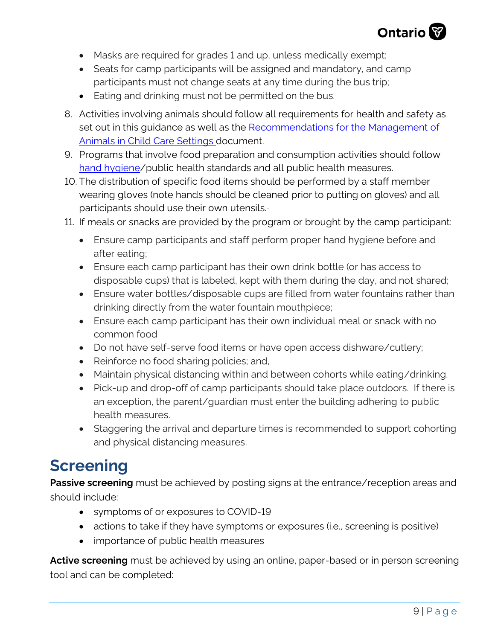

- Masks are required for grades 1 and up, unless medically exempt;
- Seats for camp participants will be assigned and mandatory, and camp participants must not change seats at any time during the bus trip;
- Eating and drinking must not be permitted on the bus.
- 8. Activities involving animals should follow all requirements for health and safety as set out in this guidance as well as the Recommendations for the Management of [Animals in Child Care Settings](http://www.health.gov.on.ca/en/pro/programs/publichealth/oph_standards/docs/reference/Recommendations_For_The_Management_Of_Animals_In_Child_Care_Settings_2018_en.pdf) document.
- 9. Programs that involve food preparation and consumption activities should follow [hand hygiene/](https://www.publichealthontario.ca/-/media/documents/B/2014/bp-hand-hygiene.pdf?la=en)public health standards and all public health measures.
- 10. The distribution of specific food items should be performed by a staff member wearing gloves (note hands should be cleaned prior to putting on gloves) and all participants should use their own utensils.
- 11. If meals or snacks are provided by the program or brought by the camp participant:
	- Ensure camp participants and staff perform proper hand hygiene before and after eating;
	- Ensure each camp participant has their own drink bottle (or has access to disposable cups) that is labeled, kept with them during the day, and not shared;
	- Ensure water bottles/disposable cups are filled from water fountains rather than drinking directly from the water fountain mouthpiece;
	- Ensure each camp participant has their own individual meal or snack with no common food
	- Do not have self-serve food items or have open access dishware/cutlery;
	- Reinforce no food sharing policies; and,
	- Maintain physical distancing within and between cohorts while eating/drinking.
	- Pick-up and drop-off of camp participants should take place outdoors. If there is an exception, the parent/guardian must enter the building adhering to public health measures.
	- Staggering the arrival and departure times is recommended to support cohorting and physical distancing measures.

## **Screening**

**Passive screening** must be achieved by posting signs at the entrance/reception areas and should include:

- symptoms of or exposures to COVID-19
- actions to take if they have symptoms or exposures (i.e., screening is positive)
- importance of public health measures

**Active screening** must be achieved by using an online, paper-based or in person screening tool and can be completed: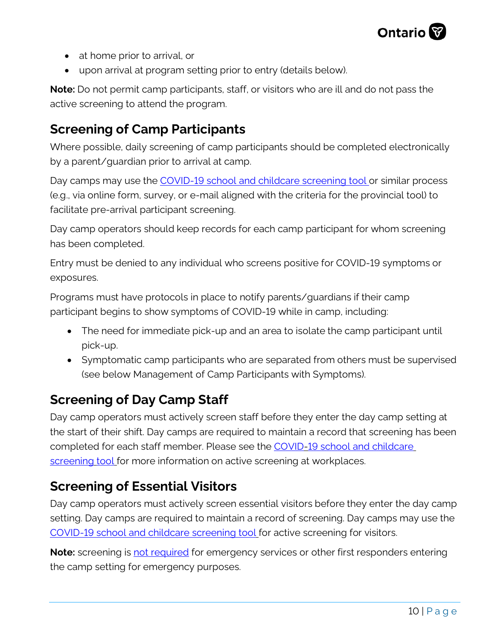

- at home prior to arrival, or
- upon arrival at program setting prior to entry (details below).

**Note:** Do not permit camp participants, staff, or visitors who are ill and do not pass the active screening to attend the program.

## **Screening of Camp Participants**

Where possible, daily screening of camp participants should be completed electronically by a parent/guardian prior to arrival at camp.

Day camps may use the [COVID-19 school and childcare screening tool](https://covid-19.ontario.ca/school-screening/) or similar process (e.g., via online form, survey, or e-mail aligned with the criteria for the provincial tool) to facilitate pre-arrival participant screening.

Day camp operators should keep records for each camp participant for whom screening has been completed.

Entry must be denied to any individual who screens positive for COVID-19 symptoms or exposures.

Programs must have protocols in place to notify parents/guardians if their camp participant begins to show symptoms of COVID-19 while in camp, including:

- The need for immediate pick-up and an area to isolate the camp participant until pick-up.
- Symptomatic camp participants who are separated from others must be supervised (see below Management of Camp Participants with Symptoms).

## **Screening of Day Camp Staff**

Day camp operators must actively screen staff before they enter the day camp setting at the start of their shift. Day camps are required to maintain a record that screening has been completed for each staff member. Please see the [COVID-19 school and childcare](https://covid-19.ontario.ca/school-screening/) [screening](https://covid-19.ontario.ca/school-screening/) tool for more information on active screening at workplaces.

## **Screening of Essential Visitors**

Day camp operators must actively screen essential visitors before they enter the day camp setting. Day camps are required to maintain a record of screening. Day camps may use the COVID-19 school [and childcare screening tool](https://covid-19.ontario.ca/school-screening/) for active screening for visitors.

**Note:** screening is **not required** for emergency services or other first responders entering the camp setting for emergency purposes.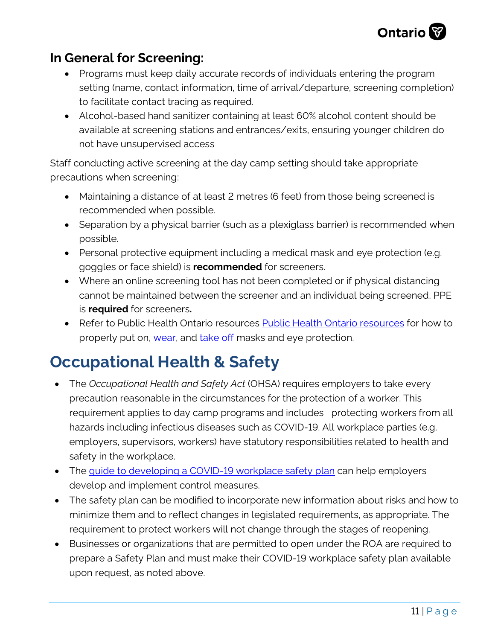

## **In General for Screening:**

- Programs must keep daily accurate records of individuals entering the program setting (name, contact information, time of arrival/departure, screening completion) to facilitate contact tracing as required.
- Alcohol-based hand sanitizer containing at least 60% alcohol content should be available at screening stations and entrances/exits, ensuring younger children do not have unsupervised access

Staff conducting active screening at the day camp setting should take appropriate precautions when screening:

- Maintaining a distance of at least 2 metres (6 feet) from those being screened is recommended when possible.
- Separation by a physical barrier (such as a plexiglass barrier) is recommended when possible.
- Personal protective equipment including a medical mask and eye protection (e.g. goggles or face shield) is **recommended** for screeners.
- Where an online screening tool has not been completed or if physical distancing cannot be maintained between the screener and an individual being screened, PPE is **required** for screeners**.**
- Refer to [Public Health Ontario resources](https://www.publichealthontario.ca/en/diseases-and-conditions/infectious-diseases/respiratory-diseases/novel-coronavirus/workplace-resources) Public Health Ontario resources for how to properly put on, [wear,](https://www.publichealthontario.ca/en/videos/ipac-maskeyes-on) and [take](https://www.publichealthontario.ca/en/videos/ipac-maskeyes-off) off masks and eye protection.

## **Occupational Health & Safety**

- The *Occupational Health and Safety Act* (OHSA) requires employers to take every precaution reasonable in the circumstances for the protection of a worker. This requirement applies to day camp programs and includes protecting workers from all hazards including infectious diseases such as COVID-19. All workplace parties (e.g. employers, supervisors, workers) have statutory responsibilities related to health and safety in the workplace.
- The guide to developing [a COVID-19 workplace safety plan](https://www.ontario.ca/page/develop-your-covid-19-workplace-safety-plan) can help employers develop and implement control measures.
- The safety plan can be modified to incorporate new information about risks and how to minimize them and to reflect changes in legislated requirements, as appropriate. The requirement to protect workers will not change through the stages of reopening.
- Businesses or organizations that are permitted to open under the ROA are required to prepare a Safety Plan and must make their COVID-19 workplace safety plan available upon request, as noted above.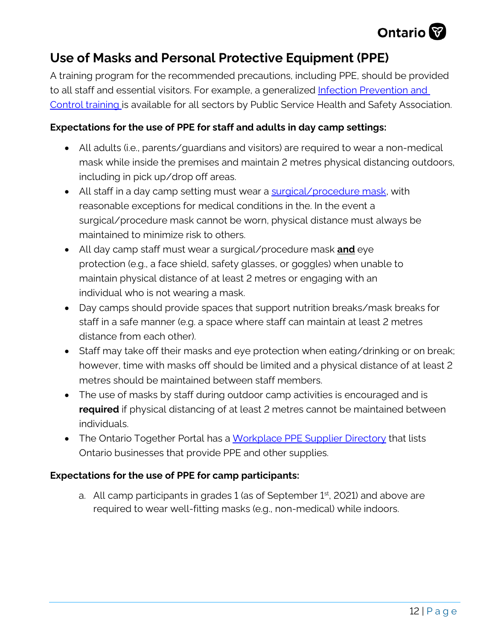

### **Use of Masks and Personal Protective Equipment (PPE)**

A training program for the recommended precautions, including PPE, should be provided to all staff and essential visitors. For example, a generalized [Infection Prevention and](https://www.pshsa.ca/training/free-training/infection-prevention-and-control-at-work-basic-awareness-training)  [Control training](https://www.pshsa.ca/training/free-training/infection-prevention-and-control-at-work-basic-awareness-training) is available for all sectors by Public Service Health and Safety Association.

#### **Expectations for the use of PPE for staff and adults in day camp settings:**

- All adults (i.e., parents/guardians and visitors) are required to wear a non-medical mask while inside the premises and maintain 2 metres physical distancing outdoors, including in pick up/drop off areas.
- All staff in a day camp setting must wear a [surgical/procedure mask,](https://www.ontario.ca/page/using-masks-workplace) with reasonable exceptions for medical conditions in the. In the event a surgical/procedure mask cannot be worn, physical distance must always be maintained to minimize risk to others.
- All day camp staff must wear a surgical/procedure mask **and** eye protection (e.g., a face shield, safety glasses, or goggles) when unable to maintain physical distance of at least 2 metres or engaging with an individual who is not wearing a mask.
- Day camps should provide spaces that support nutrition breaks/mask breaks for staff in a safe manner (e.g. a space where staff can maintain at least 2 metres distance from each other).
- Staff may take off their masks and eye protection when eating/drinking or on break; however, time with masks off should be limited and a physical distance of at least 2 metres should be maintained between staff members.
- The use of masks by staff during outdoor camp activities is encouraged and is **required** if physical distancing of at least 2 metres cannot be maintained between individuals.
- The Ontario Together Portal has a [Workplace PPE Supplier Directory](https://covid-19.ontario.ca/workplace-ppe-supplier-directory#no-back) that lists Ontario businesses that provide PPE and other supplies.

#### **Expectations for the use of PPE for camp participants:**

a. All camp participants in grades 1 (as of September  $1<sup>st</sup>$ , 2021) and above are required to wear well-fitting masks (e.g., non-medical) while indoors.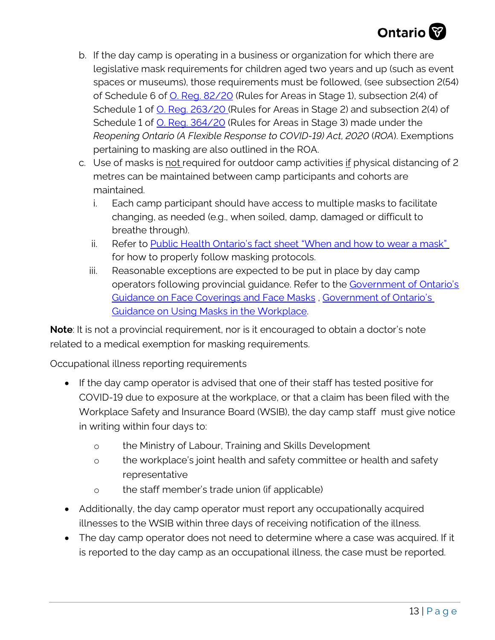- b. If the day camp is operating in a business or organization for which there are legislative mask requirements for children aged two years and up (such as event spaces or museums), those requirements must be followed, (see subsection 2(54) of Schedule 6 of [O. Reg. 82/20](https://www.ontario.ca/laws/regulation/200082) (Rules for Areas in Stage 1), subsection 2(4) of Schedule 1 of <u>O. Reg. 263/20</u> (Rules for Areas in Stage 2) and subsection 2(4) of Schedule 1 of <u>O. Reg. 364/20</u> (Rules for Areas in Stage 3) made under the *Reopening Ontario (A Flexible Response to COVID-19) Act, 2020* (*ROA*). Exemptions pertaining to masking are also outlined in the ROA.
- c. Use of masks is not required for outdoor camp activities if physical distancing of 2 metres can be maintained between camp participants and cohorts are maintained.
	- i. Each camp participant should have access to multiple masks to facilitate changing, as needed (e.g., when soiled, damp, damaged or difficult to breathe through).
	- ii. Refer to [Public Health Ontario's fact sheet "When and how to wear a mask"](https://www.publichealthontario.ca/-/media/documents/ncov/factsheet/factsheet-covid-19-how-to-wear-mask.pdf?la=en) for how to properly follow masking protocols.
	- iii. Reasonable exceptions are expected to be put in place by day camp operators following provincial guidance. Refer to the [Government of Ontario's](https://www.ontario.ca/page/face-coverings-and-face-masks#section-0)  [Guidance on Face Coverings and Face Masks](https://www.ontario.ca/page/face-coverings-and-face-masks#section-0) , [Government of Ontario's](https://www.ontario.ca/page/using-masks-workplace)  [Guidance on Using Masks in the Workplace.](https://www.ontario.ca/page/using-masks-workplace)

**Note**: It is not a provincial requirement, nor is it encouraged to obtain a doctor's note related to a medical exemption for masking requirements.

Occupational illness reporting requirements

- If the day camp operator is advised that one of their staff has tested positive for COVID-19 due to exposure at the workplace, or that a claim has been filed with the Workplace Safety and Insurance Board (WSIB), the day camp staff must give notice in writing within four days to:
	- o the Ministry of Labour, Training and Skills Development
	- o the workplace's joint health and safety committee or health and safety representative
	- o the staff member's trade union (if applicable)
- Additionally, the day camp operator must report any occupationally acquired illnesses to the WSIB within three days of receiving notification of the illness.
- The day camp operator does not need to determine where a case was acquired. If it is reported to the day camp as an occupational illness, the case must be reported.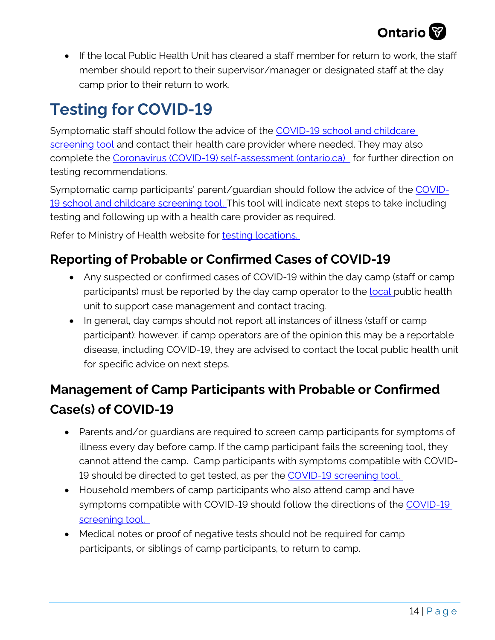

• If the local Public Health Unit has cleared a staff member for return to work, the staff member should report to their supervisor/manager or designated staff at the day camp prior to their return to work.

## **Testing for COVID-19**

Symptomatic staff should follow the advice of the [COVID-19 school and childcare](https://covid-19.ontario.ca/school-screening/)  [screening tool](https://covid-19.ontario.ca/school-screening/) and contact their health care provider where needed. They may also complete the [Coronavirus \(COVID-19\) self-assessment \(ontario.ca\)](https://covid-19.ontario.ca/self-assessment/) for further direction on testing recommendations.

Symptomatic camp participants' parent/guardian should follow the advice of the [COVID-](https://covid-19.ontario.ca/school-screening/)[19 school and childcare screening tool.](https://covid-19.ontario.ca/school-screening/) This tool will indicate next steps to take including testing and following up with a health care provider as required.

Refer to Ministry of Health website for [testing locations.](https://covid-19.ontario.ca/assessment-centre-locations)

### **Reporting of Probable or Confirmed Cases of COVID-19**

- Any suspected or confirmed cases of COVID-19 within the day camp (staff or camp participants) must be reported by the day camp operator to the **local** public health [unit](https://www.phdapps.health.gov.on.ca/PHULocator/) to support case management and contact tracing.
- In general, day camps should not report all instances of illness (staff or camp participant); however, if camp operators are of the opinion this may be a reportable disease, including COVID-19, they are advised to contact the [local public health unit](https://www.phdapps.health.gov.on.ca/PHULocator/) for specific advice on next steps.

## **Management of Camp Participants with Probable or Confirmed Case(s) of COVID-19**

- Parents and/or guardians are required to screen camp participants for symptoms of illness every day before camp. If the camp participant fails the screening tool, they cannot attend the camp. Camp participants with symptoms compatible with COVID-19 should be directed to get tested, as per the [COVID-19 screening tool.](https://covid-19.ontario.ca/school-screening/)
- Household members of camp participants who also attend camp and have symptoms compatible with [COVID-19](https://covid-19.ontario.ca/school-screening/) should follow the directions of the COVID-19 [screening tool.](https://covid-19.ontario.ca/school-screening/)
- Medical notes or proof of negative tests should not be required for camp participants, or siblings of camp participants, to return to camp.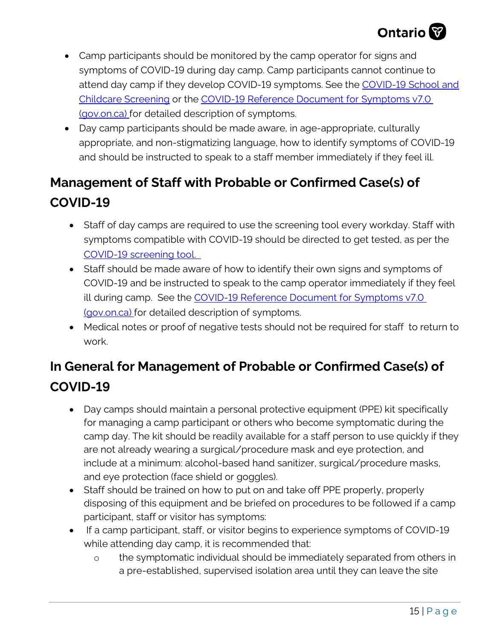

- Camp participants should be monitored by the camp operator for signs and symptoms of COVID-19 during day camp. Camp participants cannot continue to attend day camp if they develop COVID-19 symptoms. See the [COVID-19 School and](https://covid-19.ontario.ca/covid19-cms-assets/2021-02/COVID-19%20school%20and%20child%20care%20screening_ENG__AODA.pdf)  [Childcare Screening](https://covid-19.ontario.ca/covid19-cms-assets/2021-02/COVID-19%20school%20and%20child%20care%20screening_ENG__AODA.pdf) or the [COVID-19 Reference Document for Symptoms v7.0](http://www.health.gov.on.ca/en/pro/programs/publichealth/coronavirus/docs/2019_reference_doc_symptoms.pdf)  [\(gov.on.ca\)](http://www.health.gov.on.ca/en/pro/programs/publichealth/coronavirus/docs/2019_reference_doc_symptoms.pdf) for detailed description of symptoms.
- Day camp participants should be made aware, in age-appropriate, culturally appropriate, and non-stigmatizing language, how to identify symptoms of COVID-19 and should be instructed to speak to a staff member immediately if they feel ill.

## **Management of Staff with Probable or Confirmed Case(s) of COVID-19**

- Staff of day camps are required to use the screening tool every workday. Staff with symptoms compatible with COVID-19 should be directed to get tested, as per the [COVID-19 screening tool.](https://covid-19.ontario.ca/school-screening/)
- Staff should be made aware of how to identify their own signs and symptoms of COVID-19 and be instructed to speak to the camp operator immediately if they feel ill during camp. See the [COVID-19 Reference Document for Symptoms v7.0](http://www.health.gov.on.ca/en/pro/programs/publichealth/coronavirus/docs/2019_reference_doc_symptoms.pdf)  [\(gov.on.ca\)](http://www.health.gov.on.ca/en/pro/programs/publichealth/coronavirus/docs/2019_reference_doc_symptoms.pdf) for detailed description of symptoms.
- Medical notes or proof of negative tests should not be required for staff to return to work.

## **In General for Management of Probable or Confirmed Case(s) of COVID-19**

- Day camps should maintain a personal protective equipment (PPE) kit specifically for managing a camp participant or others who become symptomatic during the camp day. The kit should be readily available for a staff person to use quickly if they are not already wearing a surgical/procedure mask and eye protection, and include at a minimum: alcohol-based hand sanitizer, surgical/procedure masks, and eye protection (face shield or goggles).
- Staff should be trained on how to put on and take off PPE properly, properly disposing of this equipment and be briefed on procedures to be followed if a camp participant, staff or visitor has symptoms:
- If a camp participant, staff, or visitor begins to experience symptoms of COVID-19 while attending day camp, it is recommended that:
	- o the symptomatic individual should be immediately separated from others in a pre-established, supervised isolation area until they can leave the site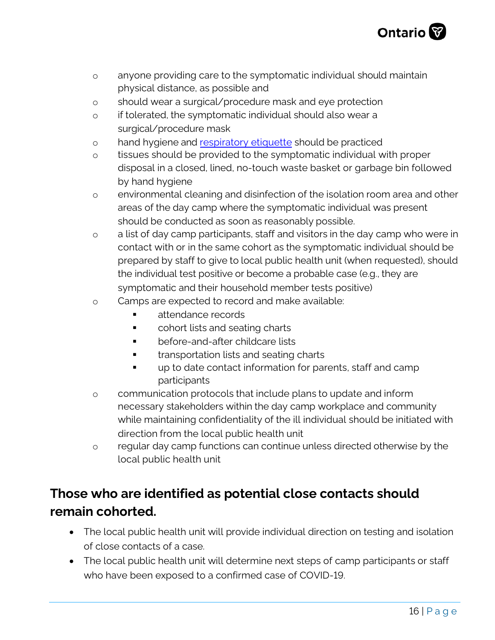

- o anyone providing care to the symptomatic individual should maintain physical distance, as possible and
- o should wear a surgical/procedure mask and eye protection
- o if tolerated, the sy[mptomatic individual s](https://www.publichealthontario.ca/-/media/documents/C/2013/clincial-office-cough-signage.pdf)hould also wear a surgical/procedure mask
- o hand hygiene and respiratory etiquette should be practiced
- o tissues should be provided to the symptomatic individual with proper disposal in a closed, lined, no-touch waste basket or garbage bin followed by hand hygiene
- o environmental cleaning and disinfection of the isolation room area and other areas of the day camp where the symptomatic individual was present should be conducted as soon as reasonably possible.
- o a list of day camp participants, staff and visitors in the day camp who were in contact with or in the same cohort as the symptomatic individual should be prepared by staff to give to local public health unit (when requested), should the individual test positive or become a probable case (e.g., they are symptomatic and their household member tests positive)
- o Camps are expected to record and make available:
	- **Example 12** attendance records
	- **•** cohort lists and seating charts
	- before-and-after childcare lists
	- transportation lists and seating charts
	- up to date contact information for parents, staff and camp participants
- o communication protocols that include plans to update and inform necessary stakeholders within the day camp workplace and community while maintaining confidentiality of the ill individual should be initiated with direction from the local public health unit
- o regular day camp functions can continue unless directed otherwise by the local public health unit

## **Those who are identified as potential close contacts should remain cohorted.**

- The local public health unit will provide individual direction on testing and isolation of close contacts of a case.
- The local public health unit will determine next steps of camp participants or staff who have been exposed to a confirmed case of COVID-19.